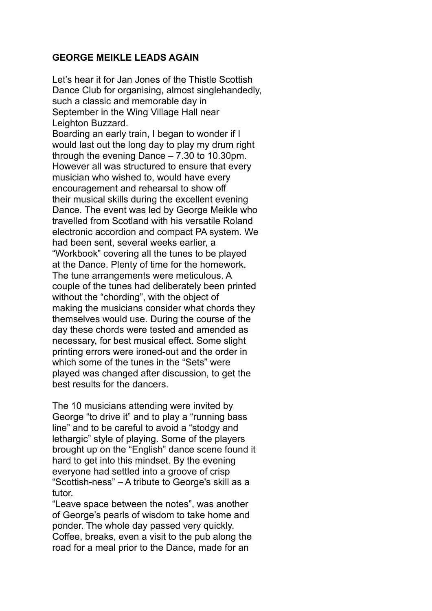## **GEORGE MEIKLE LEADS AGAIN**

Let's hear it for Jan Jones of the Thistle Scottish Dance Club for organising, almost singlehandedly, such a classic and memorable day in September in the Wing Village Hall near Leighton Buzzard. Boarding an early train, I began to wonder if I would last out the long day to play my drum right through the evening Dance – 7.30 to 10.30pm. However all was structured to ensure that every musician who wished to, would have every encouragement and rehearsal to show off their musical skills during the excellent evening Dance. The event was led by George Meikle who travelled from Scotland with his versatile Roland electronic accordion and compact PA system. We had been sent, several weeks earlier, a "Workbook" covering all the tunes to be played at the Dance. Plenty of time for the homework. The tune arrangements were meticulous. A couple of the tunes had deliberately been printed without the "chording", with the object of making the musicians consider what chords they themselves would use. During the course of the day these chords were tested and amended as necessary, for best musical effect. Some slight printing errors were ironed-out and the order in which some of the tunes in the "Sets" were played was changed after discussion, to get the best results for the dancers.

The 10 musicians attending were invited by George "to drive it" and to play a "running bass line" and to be careful to avoid a "stodgy and lethargic" style of playing. Some of the players brought up on the "English" dance scene found it hard to get into this mindset. By the evening everyone had settled into a groove of crisp "Scottish-ness" – A tribute to George's skill as a tutor.

"Leave space between the notes", was another of George's pearls of wisdom to take home and ponder. The whole day passed very quickly. Coffee, breaks, even a visit to the pub along the road for a meal prior to the Dance, made for an